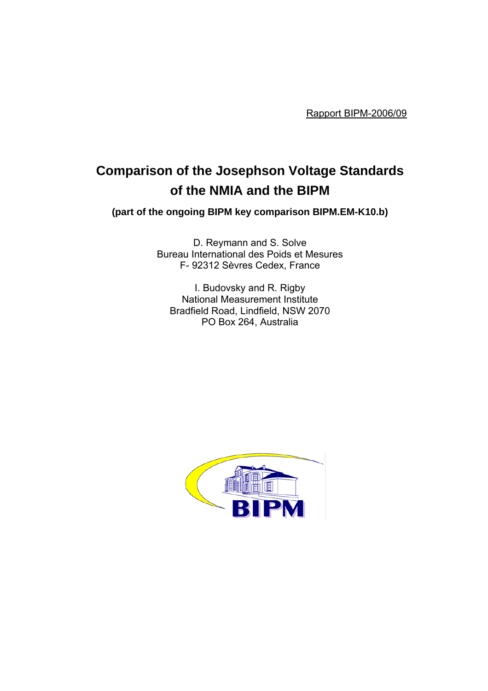Rapport BIPM-2006/09

# **Comparison of the Josephson Voltage Standards of the NMIA and the BIPM**

**(part of the ongoing BIPM key comparison BIPM.EM-K10.b)**

D. Reymann and S. Solve Bureau International des Poids et Mesures F- 92312 Sèvres Cedex, France

I. Budovsky and R. Rigby National Measurement Institute Bradfield Road, Lindfield, NSW 2070 PO Box 264, Australia

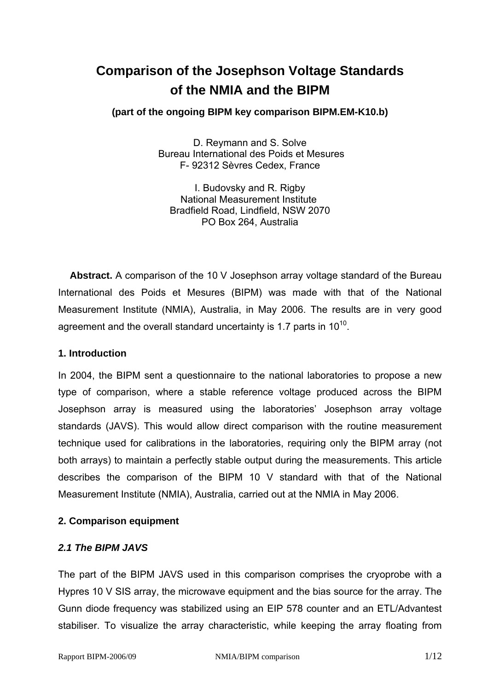# **Comparison of the Josephson Voltage Standards of the NMIA and the BIPM**

# **(part of the ongoing BIPM key comparison BIPM.EM-K10.b)**

D. Reymann and S. Solve Bureau International des Poids et Mesures F- 92312 Sèvres Cedex, France

I. Budovsky and R. Rigby National Measurement Institute Bradfield Road, Lindfield, NSW 2070 PO Box 264, Australia

**Abstract.** A comparison of the 10 V Josephson array voltage standard of the Bureau International des Poids et Mesures (BIPM) was made with that of the National Measurement Institute (NMIA), Australia, in May 2006. The results are in very good agreement and the overall standard uncertainty is 1.7 parts in  $10^{10}$ .

## **1. Introduction**

In 2004, the BIPM sent a questionnaire to the national laboratories to propose a new type of comparison, where a stable reference voltage produced across the BIPM Josephson array is measured using the laboratories' Josephson array voltage standards (JAVS). This would allow direct comparison with the routine measurement technique used for calibrations in the laboratories, requiring only the BIPM array (not both arrays) to maintain a perfectly stable output during the measurements. This article describes the comparison of the BIPM 10 V standard with that of the National Measurement Institute (NMIA), Australia, carried out at the NMIA in May 2006.

## **2. Comparison equipment**

## *2.1 The BIPM JAVS*

The part of the BIPM JAVS used in this comparison comprises the cryoprobe with a Hypres 10 V SIS array, the microwave equipment and the bias source for the array. The Gunn diode frequency was stabilized using an EIP 578 counter and an ETL/Advantest stabiliser. To visualize the array characteristic, while keeping the array floating from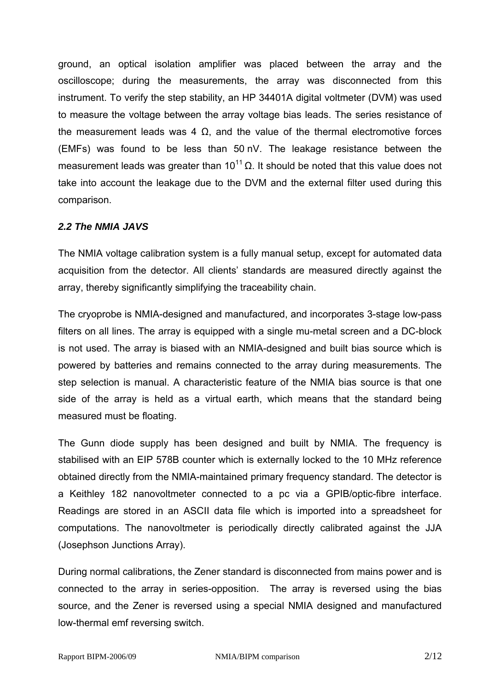ground, an optical isolation amplifier was placed between the array and the oscilloscope; during the measurements, the array was disconnected from this instrument. To verify the step stability, an HP 34401A digital voltmeter (DVM) was used to measure the voltage between the array voltage bias leads. The series resistance of the measurement leads was 4  $Ω$ , and the value of the thermal electromotive forces (EMFs) was found to be less than 50 nV. The leakage resistance between the measurement leads was greater than  $10^{11}$  Ω. It should be noted that this value does not take into account the leakage due to the DVM and the external filter used during this comparison.

# *2.2 The NMIA JAVS*

The NMIA voltage calibration system is a fully manual setup, except for automated data acquisition from the detector. All clients' standards are measured directly against the array, thereby significantly simplifying the traceability chain.

The cryoprobe is NMIA-designed and manufactured, and incorporates 3-stage low-pass filters on all lines. The array is equipped with a single mu-metal screen and a DC-block is not used. The array is biased with an NMIA-designed and built bias source which is powered by batteries and remains connected to the array during measurements. The step selection is manual. A characteristic feature of the NMIA bias source is that one side of the array is held as a virtual earth, which means that the standard being measured must be floating.

The Gunn diode supply has been designed and built by NMIA. The frequency is stabilised with an EIP 578B counter which is externally locked to the 10 MHz reference obtained directly from the NMIA-maintained primary frequency standard. The detector is a Keithley 182 nanovoltmeter connected to a pc via a GPIB/optic-fibre interface. Readings are stored in an ASCII data file which is imported into a spreadsheet for computations. The nanovoltmeter is periodically directly calibrated against the JJA (Josephson Junctions Array).

During normal calibrations, the Zener standard is disconnected from mains power and is connected to the array in series-opposition. The array is reversed using the bias source, and the Zener is reversed using a special NMIA designed and manufactured low-thermal emf reversing switch.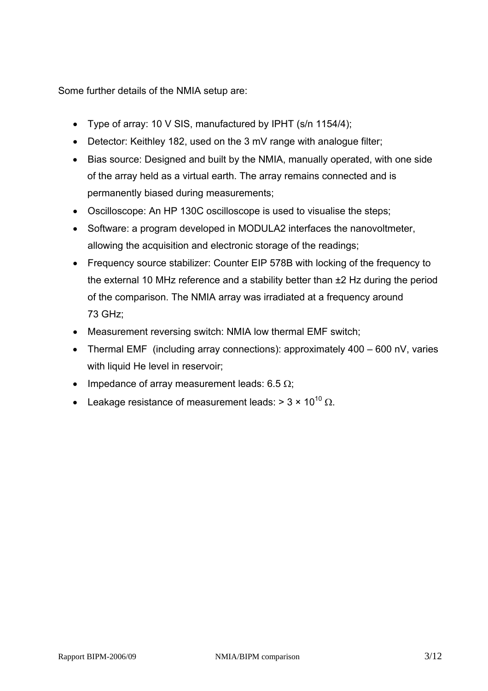Some further details of the NMIA setup are:

- Type of array: 10 V SIS, manufactured by IPHT (s/n 1154/4);
- Detector: Keithley 182, used on the 3 mV range with analogue filter;
- Bias source: Designed and built by the NMIA, manually operated, with one side of the array held as a virtual earth. The array remains connected and is permanently biased during measurements;
- Oscilloscope: An HP 130C oscilloscope is used to visualise the steps;
- Software: a program developed in MODULA2 interfaces the nanovoltmeter, allowing the acquisition and electronic storage of the readings;
- Frequency source stabilizer: Counter EIP 578B with locking of the frequency to the external 10 MHz reference and a stability better than ±2 Hz during the period of the comparison. The NMIA array was irradiated at a frequency around 73 GHz;
- Measurement reversing switch: NMIA low thermal EMF switch;
- Thermal EMF (including array connections): approximately 400 600 nV, varies with liquid He level in reservoir;
- Impedance of array measurement leads:  $6.5 \Omega$ ;
- Leakage resistance of measurement leads:  $> 3 \times 10^{10}$   $\Omega$ .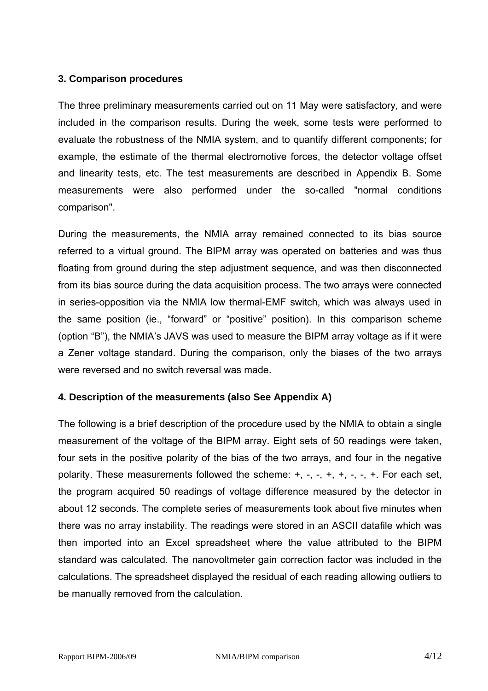# **3. Comparison procedures**

The three preliminary measurements carried out on 11 May were satisfactory, and were included in the comparison results. During the week, some tests were performed to evaluate the robustness of the NMIA system, and to quantify different components; for example, the estimate of the thermal electromotive forces, the detector voltage offset and linearity tests, etc. The test measurements are described in Appendix B. Some measurements were also performed under the so-called "normal conditions comparison".

During the measurements, the NMIA array remained connected to its bias source referred to a virtual ground. The BIPM array was operated on batteries and was thus floating from ground during the step adjustment sequence, and was then disconnected from its bias source during the data acquisition process. The two arrays were connected in series-opposition via the NMIA low thermal-EMF switch, which was always used in the same position (ie., "forward" or "positive" position). In this comparison scheme (option "B"), the NMIA's JAVS was used to measure the BIPM array voltage as if it were a Zener voltage standard. During the comparison, only the biases of the two arrays were reversed and no switch reversal was made.

## **4. Description of the measurements (also See Appendix A)**

The following is a brief description of the procedure used by the NMIA to obtain a single measurement of the voltage of the BIPM array. Eight sets of 50 readings were taken, four sets in the positive polarity of the bias of the two arrays, and four in the negative polarity. These measurements followed the scheme:  $+, -, -, +, +, -, -, +$ . For each set, the program acquired 50 readings of voltage difference measured by the detector in about 12 seconds. The complete series of measurements took about five minutes when there was no array instability. The readings were stored in an ASCII datafile which was then imported into an Excel spreadsheet where the value attributed to the BIPM standard was calculated. The nanovoltmeter gain correction factor was included in the calculations. The spreadsheet displayed the residual of each reading allowing outliers to be manually removed from the calculation.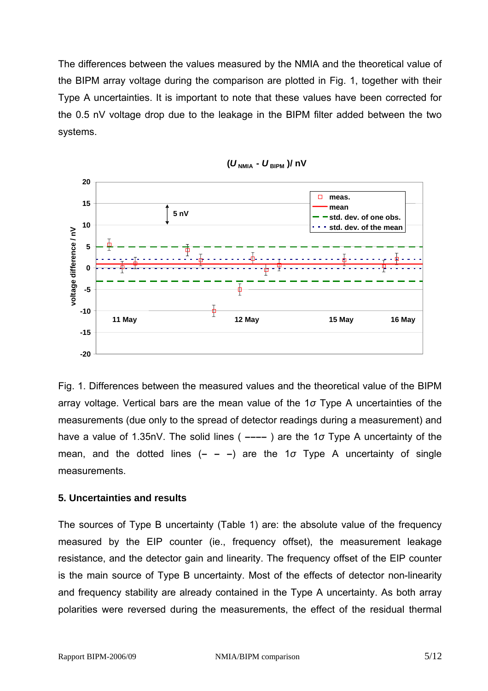The differences between the values measured by the NMIA and the theoretical value of the BIPM array voltage during the comparison are plotted in Fig. 1, together with their Type A uncertainties. It is important to note that these values have been corrected for the 0.5 nV voltage drop due to the leakage in the BIPM filter added between the two systems.





Fig. 1. Differences between the measured values and the theoretical value of the BIPM array voltage. Vertical bars are the mean value of the 1*σ* Type A uncertainties of the measurements (due only to the spread of detector readings during a measurement) and have a value of 1.35nV. The solid lines ( **––––** ) are the 1*σ* Type A uncertainty of the mean, and the dotted lines (**– – –**) are the 1*σ* Type A uncertainty of single measurements.

## **5. Uncertainties and results**

The sources of Type B uncertainty (Table 1) are: the absolute value of the frequency measured by the EIP counter (ie., frequency offset), the measurement leakage resistance, and the detector gain and linearity. The frequency offset of the EIP counter is the main source of Type B uncertainty. Most of the effects of detector non-linearity and frequency stability are already contained in the Type A uncertainty. As both array polarities were reversed during the measurements, the effect of the residual thermal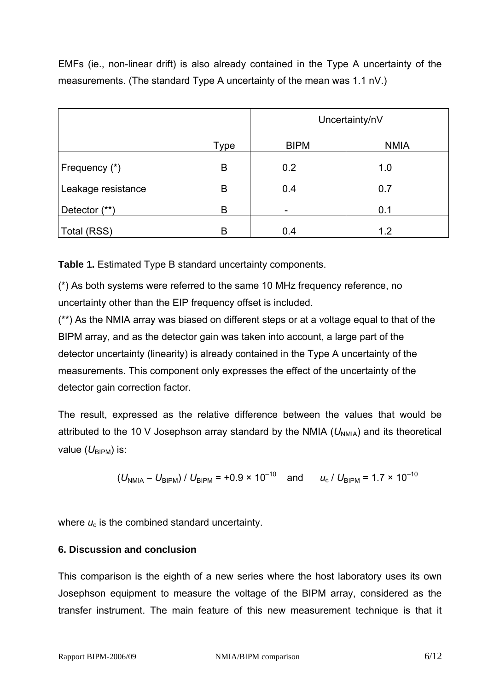EMFs (ie., non-linear drift) is also already contained in the Type A uncertainty of the measurements. (The standard Type A uncertainty of the mean was 1.1 nV.)

|                    |             | Uncertainty/nV |             |
|--------------------|-------------|----------------|-------------|
|                    | <b>Type</b> | <b>BIPM</b>    | <b>NMIA</b> |
| Frequency (*)      | B           | 0.2            | 1.0         |
| Leakage resistance | B           | 0.4            | 0.7         |
| Detector (**)      | B           |                | 0.1         |
| Total (RSS)        | B           | 0.4            | 1.2         |

**Table 1.** Estimated Type B standard uncertainty components.

(\*) As both systems were referred to the same 10 MHz frequency reference, no uncertainty other than the EIP frequency offset is included.

(\*\*) As the NMIA array was biased on different steps or at a voltage equal to that of the BIPM array, and as the detector gain was taken into account, a large part of the detector uncertainty (linearity) is already contained in the Type A uncertainty of the measurements. This component only expresses the effect of the uncertainty of the detector gain correction factor.

The result, expressed as the relative difference between the values that would be attributed to the 10 V Josephson array standard by the NMIA  $(U_{NMR})$  and its theoretical value  $(U_{\text{BIPM}})$  is:

$$
(U_{\text{NMA}} - U_{\text{BIPM}}) / U_{\text{BIPM}} = +0.9 \times 10^{-10}
$$
 and  $u_{\text{c}} / U_{\text{BIPM}} = 1.7 \times 10^{-10}$ 

where  $u_c$  is the combined standard uncertainty.

## **6. Discussion and conclusion**

This comparison is the eighth of a new series where the host laboratory uses its own Josephson equipment to measure the voltage of the BIPM array, considered as the transfer instrument. The main feature of this new measurement technique is that it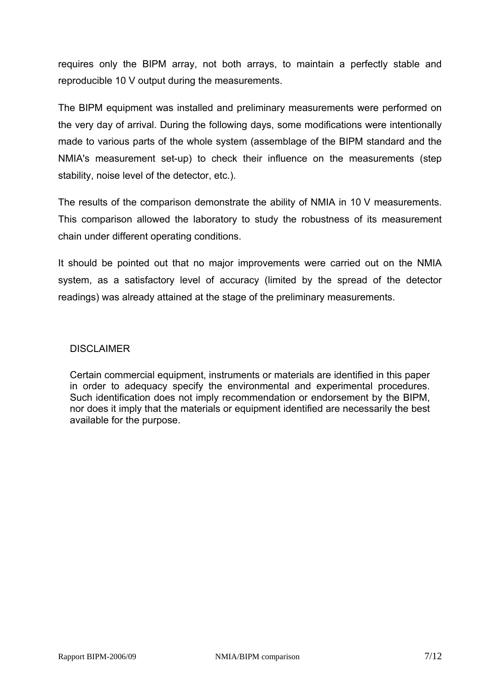requires only the BIPM array, not both arrays, to maintain a perfectly stable and reproducible 10 V output during the measurements.

The BIPM equipment was installed and preliminary measurements were performed on the very day of arrival. During the following days, some modifications were intentionally made to various parts of the whole system (assemblage of the BIPM standard and the NMIA's measurement set-up) to check their influence on the measurements (step stability, noise level of the detector, etc.).

The results of the comparison demonstrate the ability of NMIA in 10 V measurements. This comparison allowed the laboratory to study the robustness of its measurement chain under different operating conditions.

It should be pointed out that no major improvements were carried out on the NMIA system, as a satisfactory level of accuracy (limited by the spread of the detector readings) was already attained at the stage of the preliminary measurements.

## DISCI AIMER

Certain commercial equipment, instruments or materials are identified in this paper in order to adequacy specify the environmental and experimental procedures. Such identification does not imply recommendation or endorsement by the BIPM, nor does it imply that the materials or equipment identified are necessarily the best available for the purpose.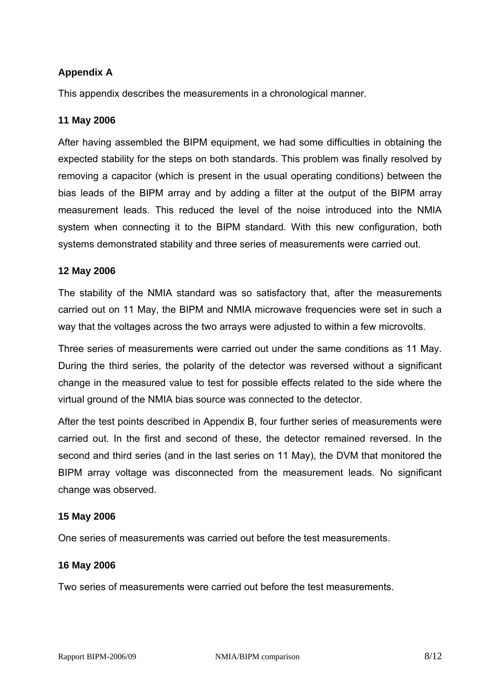# **Appendix A**

This appendix describes the measurements in a chronological manner.

## **11 May 2006**

After having assembled the BIPM equipment, we had some difficulties in obtaining the expected stability for the steps on both standards. This problem was finally resolved by removing a capacitor (which is present in the usual operating conditions) between the bias leads of the BIPM array and by adding a filter at the output of the BIPM array measurement leads. This reduced the level of the noise introduced into the NMIA system when connecting it to the BIPM standard. With this new configuration, both systems demonstrated stability and three series of measurements were carried out.

## **12 May 2006**

The stability of the NMIA standard was so satisfactory that, after the measurements carried out on 11 May, the BIPM and NMIA microwave frequencies were set in such a way that the voltages across the two arrays were adjusted to within a few microvolts.

Three series of measurements were carried out under the same conditions as 11 May. During the third series, the polarity of the detector was reversed without a significant change in the measured value to test for possible effects related to the side where the virtual ground of the NMIA bias source was connected to the detector.

After the test points described in Appendix B, four further series of measurements were carried out. In the first and second of these, the detector remained reversed. In the second and third series (and in the last series on 11 May), the DVM that monitored the BIPM array voltage was disconnected from the measurement leads. No significant change was observed.

## **15 May 2006**

One series of measurements was carried out before the test measurements.

#### **16 May 2006**

Two series of measurements were carried out before the test measurements.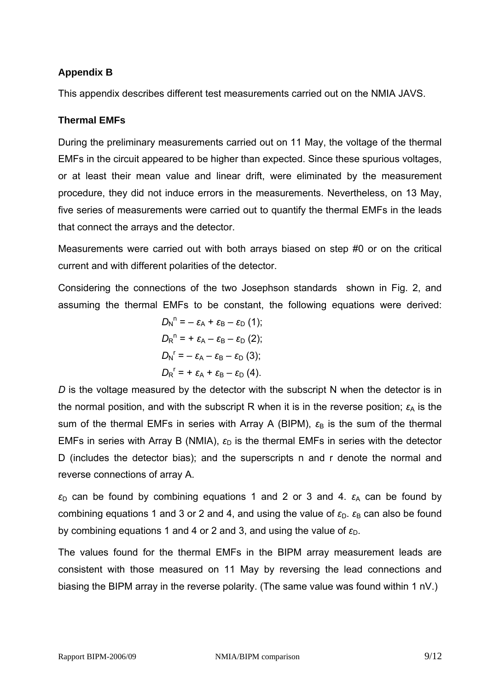# **Appendix B**

This appendix describes different test measurements carried out on the NMIA JAVS.

# **Thermal EMFs**

During the preliminary measurements carried out on 11 May, the voltage of the thermal EMFs in the circuit appeared to be higher than expected. Since these spurious voltages, or at least their mean value and linear drift, were eliminated by the measurement procedure, they did not induce errors in the measurements. Nevertheless, on 13 May, five series of measurements were carried out to quantify the thermal EMFs in the leads that connect the arrays and the detector.

Measurements were carried out with both arrays biased on step #0 or on the critical current and with different polarities of the detector.

Considering the connections of the two Josephson standards shown in Fig. 2, and assuming the thermal EMFs to be constant, the following equations were derived:

$$
D_{\mathsf{N}}^n = -\varepsilon_{\mathsf{A}} + \varepsilon_{\mathsf{B}} - \varepsilon_{\mathsf{D}} (1);
$$
  
\n
$$
D_{\mathsf{R}}^n = +\varepsilon_{\mathsf{A}} - \varepsilon_{\mathsf{B}} - \varepsilon_{\mathsf{D}} (2);
$$
  
\n
$$
D_{\mathsf{N}}^r = -\varepsilon_{\mathsf{A}} - \varepsilon_{\mathsf{B}} - \varepsilon_{\mathsf{D}} (3);
$$
  
\n
$$
D_{\mathsf{R}}^r = +\varepsilon_{\mathsf{A}} + \varepsilon_{\mathsf{B}} - \varepsilon_{\mathsf{D}} (4).
$$

*D* is the voltage measured by the detector with the subscript N when the detector is in the normal position, and with the subscript R when it is in the reverse position;  $\varepsilon_A$  is the sum of the thermal EMFs in series with Array A (BIPM),  $\varepsilon_B$  is the sum of the thermal EMFs in series with Array B (NMIA),  $\varepsilon_D$  is the thermal EMFs in series with the detector D (includes the detector bias); and the superscripts n and r denote the normal and reverse connections of array A.

 $\varepsilon_{\text{D}}$  can be found by combining equations 1 and 2 or 3 and 4.  $\varepsilon_{\text{A}}$  can be found by combining equations 1 and 3 or 2 and 4, and using the value of  $\varepsilon_{D}$ .  $\varepsilon_{B}$  can also be found by combining equations 1 and 4 or 2 and 3, and using the value of  $ε<sub>D</sub>$ .

The values found for the thermal EMFs in the BIPM array measurement leads are consistent with those measured on 11 May by reversing the lead connections and biasing the BIPM array in the reverse polarity. (The same value was found within 1 nV.)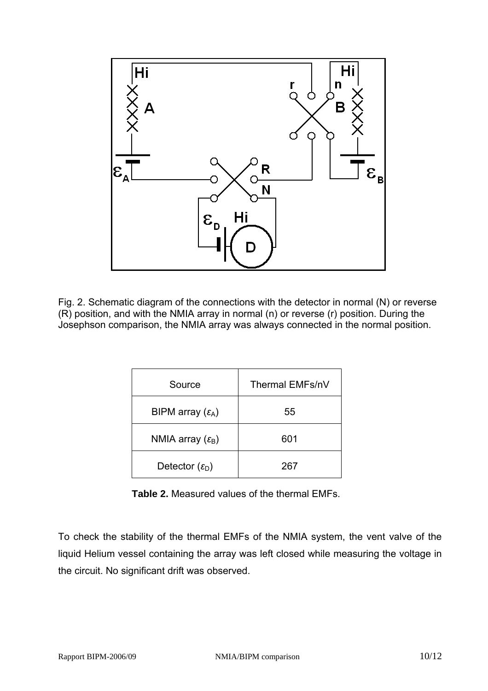

Fig. 2. Schematic diagram of the connections with the detector in normal (N) or reverse (R) position, and with the NMIA array in normal (n) or reverse (r) position. During the Josephson comparison, the NMIA array was always connected in the normal position.

| Source                         | Thermal EMFs/nV |  |
|--------------------------------|-----------------|--|
| BIPM array $(\varepsilon_A)$   | 55              |  |
| NMIA array $(\varepsilon_{B})$ | 601             |  |
| Detector $(\varepsilon_{D})$   | 267             |  |

**Table 2.** Measured values of the thermal EMFs.

To check the stability of the thermal EMFs of the NMIA system, the vent valve of the liquid Helium vessel containing the array was left closed while measuring the voltage in the circuit. No significant drift was observed.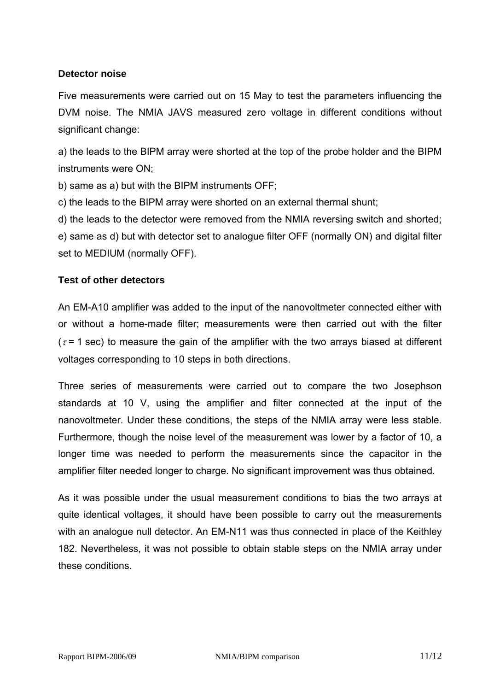# **Detector noise**

Five measurements were carried out on 15 May to test the parameters influencing the DVM noise. The NMIA JAVS measured zero voltage in different conditions without significant change:

a) the leads to the BIPM array were shorted at the top of the probe holder and the BIPM instruments were ON;

b) same as a) but with the BIPM instruments OFF;

c) the leads to the BIPM array were shorted on an external thermal shunt;

d) the leads to the detector were removed from the NMIA reversing switch and shorted; e) same as d) but with detector set to analogue filter OFF (normally ON) and digital filter set to MEDIUM (normally OFF).

# **Test of other detectors**

An EM-A10 amplifier was added to the input of the nanovoltmeter connected either with or without a home-made filter; measurements were then carried out with the filter ( $\tau$  = 1 sec) to measure the gain of the amplifier with the two arrays biased at different voltages corresponding to 10 steps in both directions.

Three series of measurements were carried out to compare the two Josephson standards at 10 V, using the amplifier and filter connected at the input of the nanovoltmeter. Under these conditions, the steps of the NMIA array were less stable. Furthermore, though the noise level of the measurement was lower by a factor of 10, a longer time was needed to perform the measurements since the capacitor in the amplifier filter needed longer to charge. No significant improvement was thus obtained.

As it was possible under the usual measurement conditions to bias the two arrays at quite identical voltages, it should have been possible to carry out the measurements with an analogue null detector. An EM-N11 was thus connected in place of the Keithley 182. Nevertheless, it was not possible to obtain stable steps on the NMIA array under these conditions.